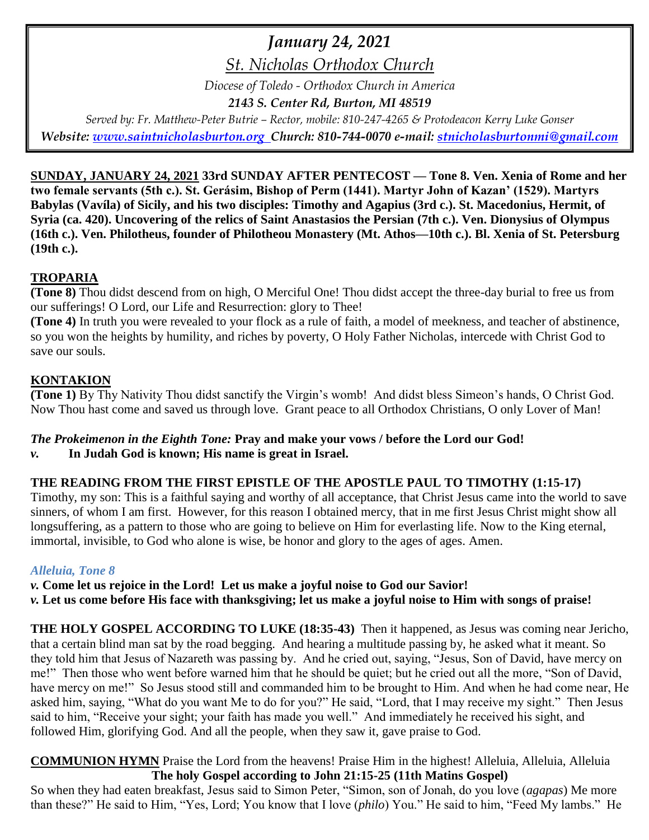# *January 24, 2021*

*St. Nicholas Orthodox Church*

*Diocese of Toledo - Orthodox Church in America*

*2143 S. Center Rd, Burton, MI 48519*

*Served by: Fr. Matthew-Peter Butrie – Rector, mobile: 810-247-4265 & Protodeacon Kerry Luke Gonser Website: [www.saintnicholasburton.org](http://www.saintnicholasburton.org/) Church: 810-744-0070 e-mail: [stnicholasburtonmi@gmail.com](mailto:stnicholasburtonmi@gmail.com)*

**SUNDAY, JANUARY 24, 2021 33rd SUNDAY AFTER PENTECOST — Tone 8. Ven. Xenia of Rome and her two female servants (5th c.). St. Gerásim, Bishop of Perm (1441). Martyr John of Kazan' (1529). Martyrs Babylas (Vavíla) of Sicily, and his two disciples: Timothy and Agapius (3rd c.). St. Macedonius, Hermit, of Syria (ca. 420). Uncovering of the relics of Saint Anastasios the Persian (7th c.). Ven. Dionysius of Olympus (16th c.). Ven. Philotheus, founder of Philotheou Monastery (Mt. Athos—10th c.). Bl. Xenia of St. Petersburg (19th c.).**

# **TROPARIA**

**(Tone 8)** Thou didst descend from on high, O Merciful One! Thou didst accept the three-day burial to free us from our sufferings! O Lord, our Life and Resurrection: glory to Thee!

**(Tone 4)** In truth you were revealed to your flock as a rule of faith, a model of meekness, and teacher of abstinence, so you won the heights by humility, and riches by poverty, O Holy Father Nicholas, intercede with Christ God to save our souls.

# **KONTAKION**

**(Tone 1)** By Thy Nativity Thou didst sanctify the Virgin's womb! And didst bless Simeon's hands, O Christ God. Now Thou hast come and saved us through love. Grant peace to all Orthodox Christians, O only Lover of Man!

# *The Prokeimenon in the Eighth Tone:* **Pray and make your vows / before the Lord our God!**

#### *v.* **In Judah God is known; His name is great in Israel.**

# **THE READING FROM THE FIRST EPISTLE OF THE APOSTLE PAUL TO TIMOTHY (1:15-17)**

Timothy, my son: This is a faithful saying and worthy of all acceptance, that Christ Jesus came into the world to save sinners, of whom I am first. However, for this reason I obtained mercy, that in me first Jesus Christ might show all longsuffering, as a pattern to those who are going to believe on Him for everlasting life. Now to the King eternal, immortal, invisible, to God who alone is wise, be honor and glory to the ages of ages. Amen.

#### *Alleluia, Tone 8*

*v.* **Come let us rejoice in the Lord! Let us make a joyful noise to God our Savior!** *v.* **Let us come before His face with thanksgiving; let us make a joyful noise to Him with songs of praise!**

**THE HOLY GOSPEL ACCORDING TO LUKE (18:35-43)** Then it happened, as Jesus was coming near Jericho, that a certain blind man sat by the road begging. And hearing a multitude passing by, he asked what it meant. So they told him that Jesus of Nazareth was passing by. And he cried out, saying, "Jesus, Son of David, have mercy on me!" Then those who went before warned him that he should be quiet; but he cried out all the more, "Son of David, have mercy on me!" So Jesus stood still and commanded him to be brought to Him. And when he had come near, He asked him, saying, "What do you want Me to do for you?" He said, "Lord, that I may receive my sight." Then Jesus said to him, "Receive your sight; your faith has made you well." And immediately he received his sight, and followed Him, glorifying God. And all the people, when they saw it, gave praise to God.

**COMMUNION HYMN** Praise the Lord from the heavens! Praise Him in the highest! Alleluia, Alleluia, Alleluia **The holy Gospel according to John 21:15-25 (11th Matins Gospel)**

So when they had eaten breakfast, Jesus said to Simon Peter, "Simon, son of Jonah, do you love (*agapas*) Me more than these?" He said to Him, "Yes, Lord; You know that I love (*philo*) You." He said to him, "Feed My lambs." He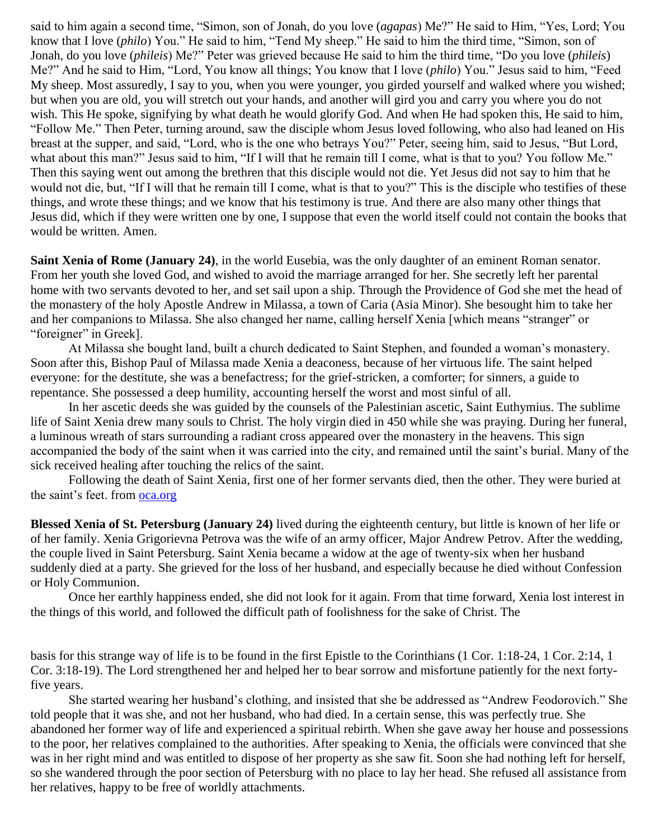said to him again a second time, "Simon, son of Jonah, do you love (*agapas*) Me?" He said to Him, "Yes, Lord; You know that I love (*philo*) You." He said to him, "Tend My sheep." He said to him the third time, "Simon, son of Jonah, do you love (*phileis*) Me?" Peter was grieved because He said to him the third time, "Do you love (*phileis*) Me?" And he said to Him, "Lord, You know all things; You know that I love (*philo*) You." Jesus said to him, "Feed My sheep. Most assuredly, I say to you, when you were younger, you girded yourself and walked where you wished; but when you are old, you will stretch out your hands, and another will gird you and carry you where you do not wish. This He spoke, signifying by what death he would glorify God. And when He had spoken this, He said to him, "Follow Me." Then Peter, turning around, saw the disciple whom Jesus loved following, who also had leaned on His breast at the supper, and said, "Lord, who is the one who betrays You?" Peter, seeing him, said to Jesus, "But Lord, what about this man?" Jesus said to him, "If I will that he remain till I come, what is that to you? You follow Me." Then this saying went out among the brethren that this disciple would not die. Yet Jesus did not say to him that he would not die, but, "If I will that he remain till I come, what is that to you?" This is the disciple who testifies of these things, and wrote these things; and we know that his testimony is true. And there are also many other things that Jesus did, which if they were written one by one, I suppose that even the world itself could not contain the books that would be written. Amen.

**Saint Xenia of Rome (January 24)**, in the world Eusebia, was the only daughter of an eminent Roman senator. From her youth she loved God, and wished to avoid the marriage arranged for her. She secretly left her parental home with two servants devoted to her, and set sail upon a ship. Through the Providence of God she met the head of the monastery of the holy Apostle Andrew in Milassa, a town of Caria (Asia Minor). She besought him to take her and her companions to Milassa. She also changed her name, calling herself Xenia [which means "stranger" or "foreigner" in Greek].

At Milassa she bought land, built a church dedicated to Saint Stephen, and founded a woman's monastery. Soon after this, Bishop Paul of Milassa made Xenia a deaconess, because of her virtuous life. The saint helped everyone: for the destitute, she was a benefactress; for the grief-stricken, a comforter; for sinners, a guide to repentance. She possessed a deep humility, accounting herself the worst and most sinful of all.

In her ascetic deeds she was guided by the counsels of the Palestinian ascetic, Saint Euthymius. The sublime life of Saint Xenia drew many souls to Christ. The holy virgin died in 450 while she was praying. During her funeral, a luminous wreath of stars surrounding a radiant cross appeared over the monastery in the heavens. This sign accompanied the body of the saint when it was carried into the city, and remained until the saint's burial. Many of the sick received healing after touching the relics of the saint.

Following the death of Saint Xenia, first one of her former servants died, then the other. They were buried at the saint's feet. from [oca.org](https://www.oca.org/saints/lives/2021/01/24/100286-venerable-xenia-of-rome-and-her-two-female-servants)

**Blessed Xenia of St. Petersburg (January 24)** lived during the eighteenth century, but little is known of her life or of her family. Xenia Grigorievna Petrova was the wife of an army officer, Major Andrew Petrov. After the wedding, the couple lived in Saint Petersburg. Saint Xenia became a widow at the age of twenty-six when her husband suddenly died at a party. She grieved for the loss of her husband, and especially because he died without Confession or Holy Communion.

Once her earthly happiness ended, she did not look for it again. From that time forward, Xenia lost interest in the things of this world, and followed the difficult path of foolishness for the sake of Christ. The

basis for this strange way of life is to be found in the first Epistle to the Corinthians (1 Cor. 1:18-24, 1 Cor. 2:14, 1 Cor. 3:18-19). The Lord strengthened her and helped her to bear sorrow and misfortune patiently for the next fortyfive years.

She started wearing her husband's clothing, and insisted that she be addressed as "Andrew Feodorovich." She told people that it was she, and not her husband, who had died. In a certain sense, this was perfectly true. She abandoned her former way of life and experienced a spiritual rebirth. When she gave away her house and possessions to the poor, her relatives complained to the authorities. After speaking to Xenia, the officials were convinced that she was in her right mind and was entitled to dispose of her property as she saw fit. Soon she had nothing left for herself, so she wandered through the poor section of Petersburg with no place to lay her head. She refused all assistance from her relatives, happy to be free of worldly attachments.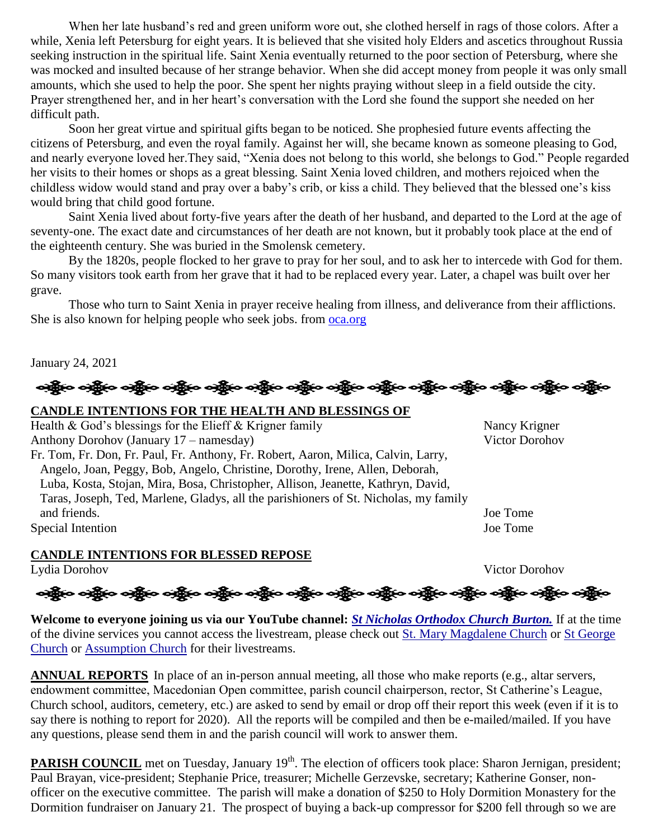When her late husband's red and green uniform wore out, she clothed herself in rags of those colors. After a while, Xenia left Petersburg for eight years. It is believed that she visited holy Elders and ascetics throughout Russia seeking instruction in the spiritual life. Saint Xenia eventually returned to the poor section of Petersburg, where she was mocked and insulted because of her strange behavior. When she did accept money from people it was only small amounts, which she used to help the poor. She spent her nights praying without sleep in a field outside the city. Prayer strengthened her, and in her heart's conversation with the Lord she found the support she needed on her difficult path.

Soon her great virtue and spiritual gifts began to be noticed. She prophesied future events affecting the citizens of Petersburg, and even the royal family. Against her will, she became known as someone pleasing to God, and nearly everyone loved her.They said, "Xenia does not belong to this world, she belongs to God." People regarded her visits to their homes or shops as a great blessing. Saint Xenia loved children, and mothers rejoiced when the childless widow would stand and pray over a baby's crib, or kiss a child. They believed that the blessed one's kiss would bring that child good fortune.

Saint Xenia lived about forty-five years after the death of her husband, and departed to the Lord at the age of seventy-one. The exact date and circumstances of her death are not known, but it probably took place at the end of the eighteenth century. She was buried in the Smolensk cemetery.

By the 1820s, people flocked to her grave to pray for her soul, and to ask her to intercede with God for them. So many visitors took earth from her grave that it had to be replaced every year. Later, a chapel was built over her grave.

Those who turn to Saint Xenia in prayer receive healing from illness, and deliverance from their afflictions. She is also known for helping people who seek jobs. from [oca.org](https://www.oca.org/saints/lives/2021/01/24/100297-blessed-xenia-of-st-petersburg)

January 24, 2021

# ခရွိက ခရွိက ခရွိက အဲဒီးရေးအိုးရ ခရွိက ခရွိက ခရွိက ခရွိက ခရွိက အဲဒီးရေးအိုးရ ခရွိက ခရွိက ခရွိက

#### **CANDLE INTENTIONS FOR THE HEALTH AND BLESSINGS OF**

Health & God's blessings for the Elieff & Krigner family Nancy Krigner Anthony Dorohov (January 17 – namesday) Victor Dorohov Fr. Tom, Fr. Don, Fr. Paul, Fr. Anthony, Fr. Robert, Aaron, Milica, Calvin, Larry, Angelo, Joan, Peggy, Bob, Angelo, Christine, Dorothy, Irene, Allen, Deborah, Luba, Kosta, Stojan, Mira, Bosa, Christopher, Allison, Jeanette, Kathryn, David, Taras, Joseph, Ted, Marlene, Gladys, all the parishioners of St. Nicholas, my family and friends. Joe Tome Special Intention Joe Tome

**CANDLE INTENTIONS FOR BLESSED REPOSE**

Lydia Dorohov Victor Dorohov

ઓફ્રિંગ ઓફ્રિંગ ઓફ્રિંગ એફ્રિંગ ઓફ્રિંગ ઓફ્રિંગ ઓફ્રિંગ ઓફ્રિંગ એક્રિંગ ઓફ્રિંગ ઓફ્રિંગ ઓફ્રિંગ ઓફ્રિંગ

**Welcome to everyone joining us via our YouTube channel:** *[St Nicholas Orthodox Church Burton.](https://www.youtube.com/channel/UC59tV-Re443z-GCoETAUvfA)* If at the time of the divine services you cannot access the livestream, please check out [St. Mary Magdalene Church](https://www.youtube.com/channel/UClHAqZrWkXdYELujbbIslHg) or [St George](https://www.youtube.com/channel/UCpLWfxMIJK4uQOV41ekE6Wg/videos?view=2&flow=grid)  [Church](https://www.youtube.com/channel/UCpLWfxMIJK4uQOV41ekE6Wg/videos?view=2&flow=grid) or [Assumption Church](https://www.facebook.com/AssumptionGrandBlanc/) for their livestreams.

**ANNUAL REPORTS** In place of an in-person annual meeting, all those who make reports (e.g., altar servers, endowment committee, Macedonian Open committee, parish council chairperson, rector, St Catherine's League, Church school, auditors, cemetery, etc.) are asked to send by email or drop off their report this week (even if it is to say there is nothing to report for 2020). All the reports will be compiled and then be e-mailed/mailed. If you have any questions, please send them in and the parish council will work to answer them.

**PARISH COUNCIL** met on Tuesday, January 19<sup>th</sup>. The election of officers took place: Sharon Jernigan, president; Paul Brayan, vice-president; Stephanie Price, treasurer; Michelle Gerzevske, secretary; Katherine Gonser, nonofficer on the executive committee. The parish will make a donation of \$250 to Holy Dormition Monastery for the Dormition fundraiser on January 21. The prospect of buying a back-up compressor for \$200 fell through so we are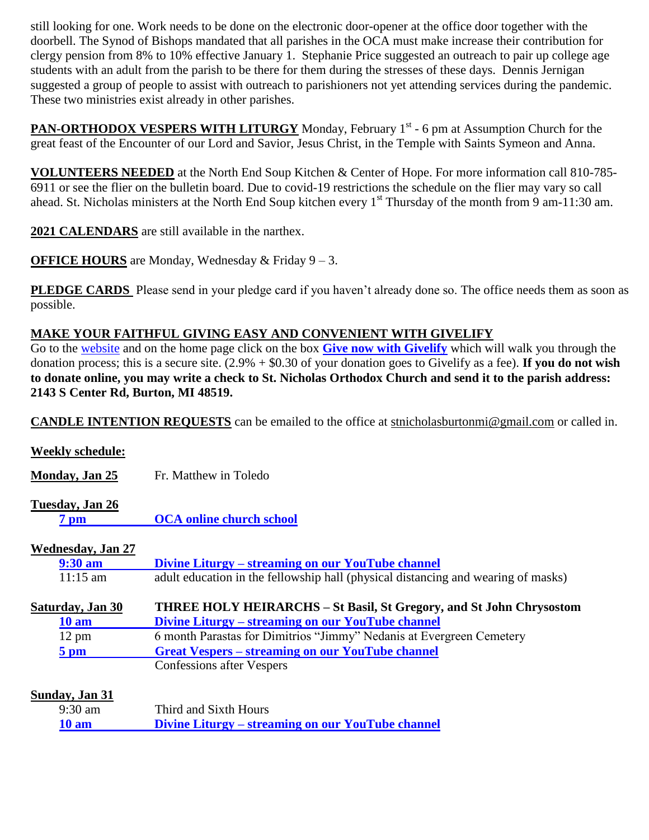still looking for one. Work needs to be done on the electronic door-opener at the office door together with the doorbell. The Synod of Bishops mandated that all parishes in the OCA must make increase their contribution for clergy pension from 8% to 10% effective January 1. Stephanie Price suggested an outreach to pair up college age students with an adult from the parish to be there for them during the stresses of these days. Dennis Jernigan suggested a group of people to assist with outreach to parishioners not yet attending services during the pandemic. These two ministries exist already in other parishes.

PAN-ORTHODOX VESPERS WITH LITURGY Monday, February 1<sup>st</sup> - 6 pm at Assumption Church for the great feast of the Encounter of our Lord and Savior, Jesus Christ, in the Temple with Saints Symeon and Anna.

**VOLUNTEERS NEEDED** at the North End Soup Kitchen & Center of Hope. For more information call 810-785- 6911 or see the flier on the bulletin board. Due to covid-19 restrictions the schedule on the flier may vary so call ahead. St. Nicholas ministers at the North End Soup kitchen every 1<sup>st</sup> Thursday of the month from 9 am-11:30 am.

**2021 CALENDARS** are still available in the narthex.

**OFFICE HOURS** are Monday, Wednesday & Friday 9 – 3.

**PLEDGE CARDS** Please send in your pledge card if you haven't already done so. The office needs them as soon as possible.

# **MAKE YOUR FAITHFUL GIVING EASY AND CONVENIENT WITH GIVELIFY**

Go to the [website](http://www.saintnicholasburton.org/) and on the home page click on the box **[Give now with Givelify](https://www.givelify.com/givenow/1.0/Mzc5MTg=/selection)** which will walk you through the donation process; this is a secure site. (2.9% + \$0.30 of your donation goes to Givelify as a fee). **If you do not wish to donate online, you may write a check to St. Nicholas Orthodox Church and send it to the parish address: 2143 S Center Rd, Burton, MI 48519.**

**CANDLE INTENTION REQUESTS** can be emailed to the office at [stnicholasburtonmi@gmail.com](mailto:stnicholasburtonmi@gmail.com) or called in.

| <b>Weekly schedule:</b>   |                                                                                   |
|---------------------------|-----------------------------------------------------------------------------------|
| Monday, Jan 25            | Fr. Matthew in Toledo                                                             |
| Tuesday, Jan 26           |                                                                                   |
| $7 \text{ pm}$            | <b>OCA online church school</b>                                                   |
| <b>Wednesday</b> , Jan 27 |                                                                                   |
| $9:30$ am                 | Divine Liturgy – streaming on our YouTube channel                                 |
| $11:15$ am                | adult education in the fellowship hall (physical distancing and wearing of masks) |
|                           |                                                                                   |
| Saturday, Jan 30          | <b>THREE HOLY HEIRARCHS – St Basil, St Gregory, and St John Chrysostom</b>        |
| 10 <sub>am</sub>          | Divine Liturgy – streaming on our YouTube channel                                 |
| $12 \text{ pm}$           | 6 month Parastas for Dimitrios "Jimmy" Nedanis at Evergreen Cemetery              |
| $5 \text{ pm}$            | <b>Great Vespers – streaming on our YouTube channel</b>                           |
|                           | <b>Confessions after Vespers</b>                                                  |
|                           |                                                                                   |
| Sunday, Jan 31            |                                                                                   |
| $9:30 \text{ am}$         | Third and Sixth Hours                                                             |
| <b>10 am</b>              | <u>Divine Liturgy – streaming on our YouTube channel</u>                          |